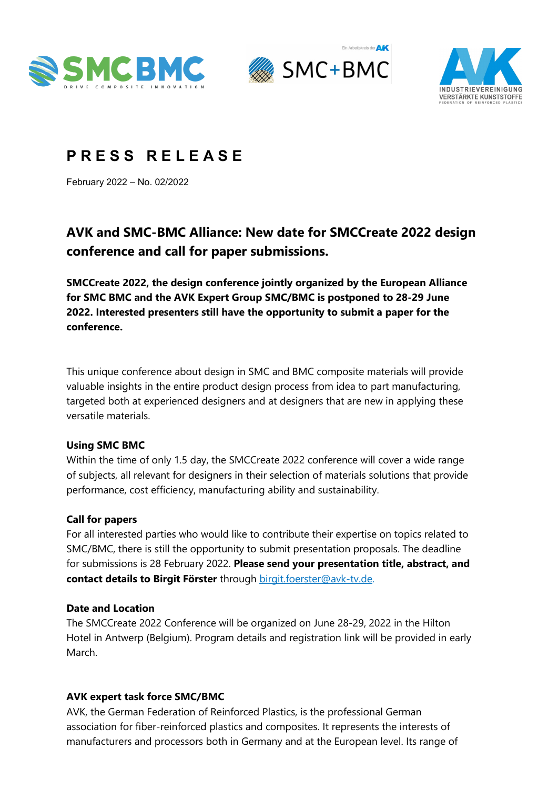





# **P R E S S R E L E A S E**

February 2022 – No. 02/2022

# **AVK and SMC-BMC Alliance: New date for SMCCreate 2022 design conference and call for paper submissions.**

**SMCCreate 2022, the design conference jointly organized by the European Alliance for SMC BMC and the AVK Expert Group SMC/BMC is postponed to 28-29 June 2022. Interested presenters still have the opportunity to submit a paper for the conference.**

This unique conference about design in SMC and BMC composite materials will provide valuable insights in the entire product design process from idea to part manufacturing, targeted both at experienced designers and at designers that are new in applying these versatile materials.

#### **Using SMC BMC**

Within the time of only 1.5 day, the SMCCreate 2022 conference will cover a wide range of subjects, all relevant for designers in their selection of materials solutions that provide performance, cost efficiency, manufacturing ability and sustainability.

#### **Call for papers**

For all interested parties who would like to contribute their expertise on topics related to SMC/BMC, there is still the opportunity to submit presentation proposals. The deadline for submissions is 28 February 2022. **Please send your presentation title, abstract, and contact details to Birgit Förster** through [birgit.foerster@avk-tv.de.](mailto:birgit.foerster@avk-tv.de)

#### **Date and Location**

The SMCCreate 2022 Conference will be organized on June 28-29, 2022 in the Hilton Hotel in Antwerp (Belgium). Program details and registration link will be provided in early March.

# **AVK expert task force SMC/BMC**

AVK, the German Federation of Reinforced Plastics, is the professional German association for fiber-reinforced plastics and composites. It represents the interests of manufacturers and processors both in Germany and at the European level. Its range of